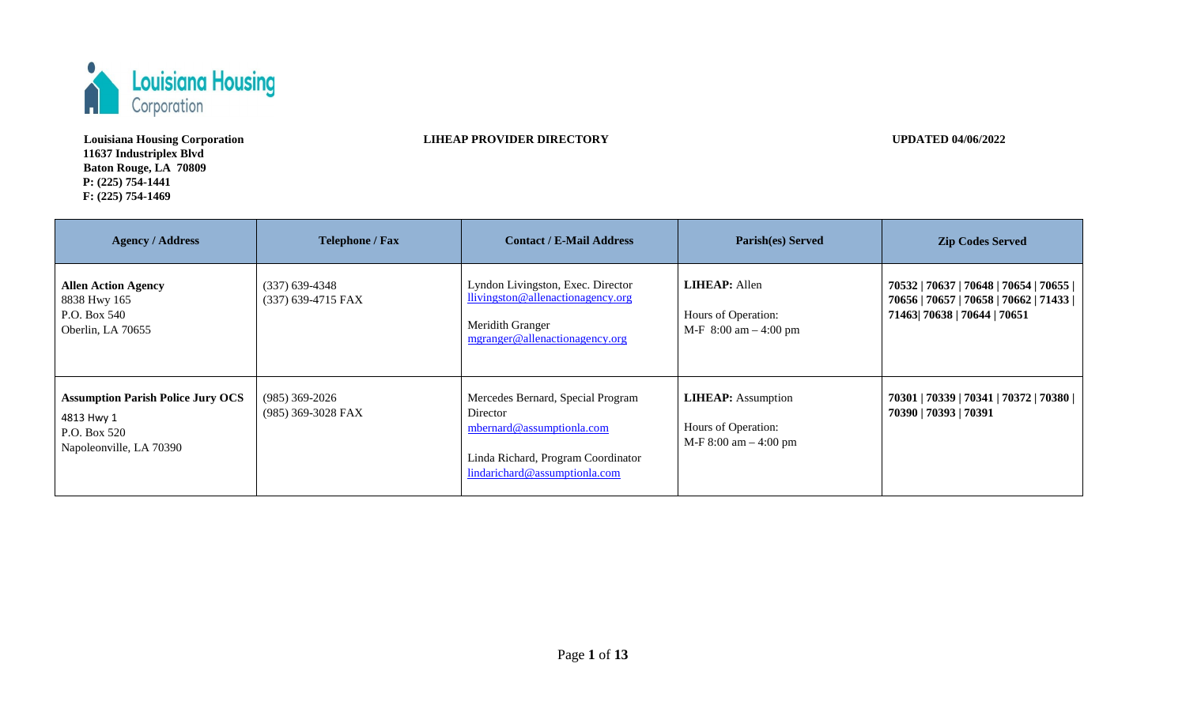

**Louisiana Housing Corporation 11637 Industriplex Blvd Baton Rouge, LA 70809 P: (225) 754-1441 F: (225) 754-1469** 

**LIHEAP PROVIDER DIRECTORY** UPDATED 04/06/2022

| <b>Agency / Address</b>                                                                           | <b>Telephone / Fax</b>                 | <b>Contact / E-Mail Address</b>                                                                                                                   | Parish(es) Served                                                             | <b>Zip Codes Served</b>                                                                                            |
|---------------------------------------------------------------------------------------------------|----------------------------------------|---------------------------------------------------------------------------------------------------------------------------------------------------|-------------------------------------------------------------------------------|--------------------------------------------------------------------------------------------------------------------|
| <b>Allen Action Agency</b><br>8838 Hwy 165<br>P.O. Box 540<br>Oberlin, LA 70655                   | $(337)$ 639-4348<br>(337) 639-4715 FAX | Lyndon Livingston, Exec. Director<br>llivingston@allenactionagency.org<br>Meridith Granger<br>mgranger@allenactionagency.org                      | <b>LIHEAP</b> : Allen<br>Hours of Operation:<br>$M-F$ 8:00 am $-$ 4:00 pm     | 70532   70637   70648   70654   70655  <br>70656   70657   70658   70662   71433  <br>71463  70638   70644   70651 |
| <b>Assumption Parish Police Jury OCS</b><br>4813 Hwy 1<br>P.O. Box 520<br>Napoleonville, LA 70390 | $(985)$ 369-2026<br>(985) 369-3028 FAX | Mercedes Bernard, Special Program<br>Director<br>mbernard@assumptionla.com<br>Linda Richard, Program Coordinator<br>lindarichard@assumptionla.com | <b>LIHEAP:</b> Assumption<br>Hours of Operation:<br>$M-F 8:00$ am $- 4:00$ pm | 70301   70339   70341   70372   70380  <br>70390   70393   70391                                                   |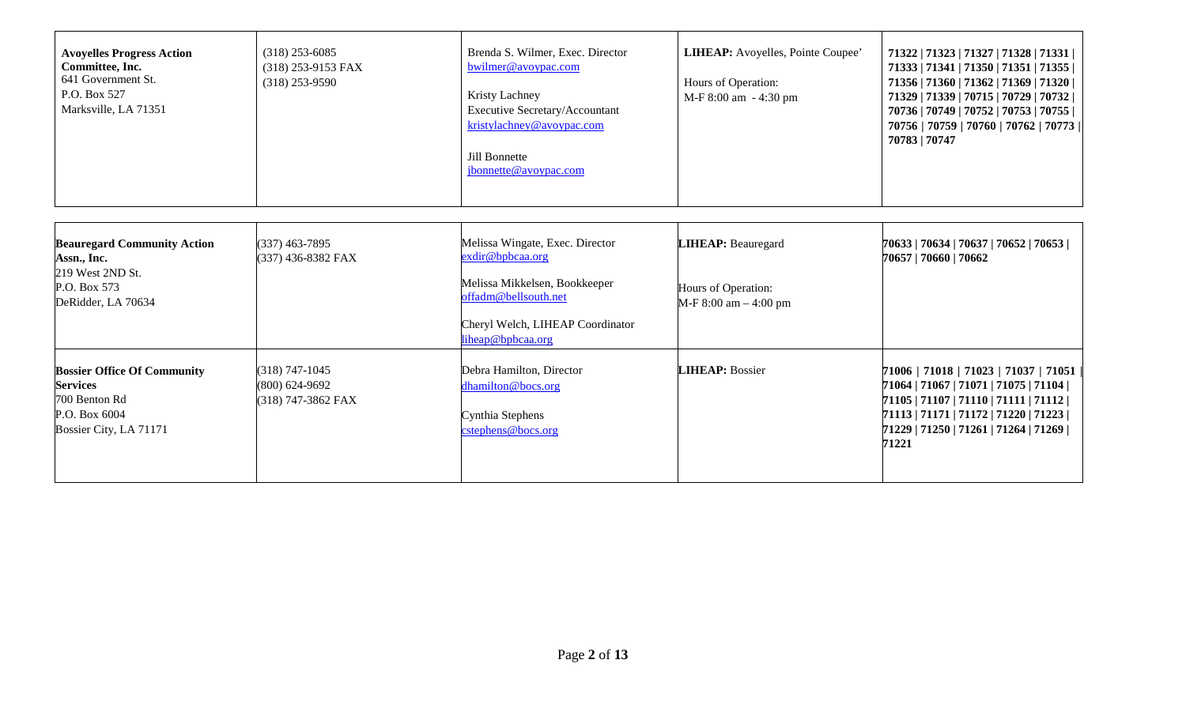| <b>Avoyelles Progress Action</b><br>Committee, Inc.<br>641 Government St.<br>P.O. Box 527<br>Marksville, LA 71351 | $(318)$ 253-6085<br>$(318)$ 253-9153 FAX<br>$(318)$ 253-9590 | Brenda S. Wilmer, Exec. Director<br>$b$ wilmer@avoypac.com<br>Kristy Lachney<br><b>Executive Secretary/Accountant</b><br>kristylachney@avoypac.com<br>Jill Bonnette<br>jbonnette@avoypac.com | <b>LIHEAP:</b> Avoyelles, Pointe Coupee'<br>Hours of Operation:<br>M-F 8:00 am - 4:30 pm | 71322   71323   71327   71328   71331  <br>71333   71341   71350   71351   71355  <br>71356   71360   71362   71369   71320  <br>71329   71339   70715   70729   70732  <br>70736   70749   70752   70753   70755  <br>70756   70759   70760   70762   70773  <br>70783   70747 |
|-------------------------------------------------------------------------------------------------------------------|--------------------------------------------------------------|----------------------------------------------------------------------------------------------------------------------------------------------------------------------------------------------|------------------------------------------------------------------------------------------|---------------------------------------------------------------------------------------------------------------------------------------------------------------------------------------------------------------------------------------------------------------------------------|
|-------------------------------------------------------------------------------------------------------------------|--------------------------------------------------------------|----------------------------------------------------------------------------------------------------------------------------------------------------------------------------------------------|------------------------------------------------------------------------------------------|---------------------------------------------------------------------------------------------------------------------------------------------------------------------------------------------------------------------------------------------------------------------------------|

| <b>Beauregard Community Action</b><br>Assn., Inc.<br>219 West 2ND St.<br>P.O. Box 573<br>DeRidder, LA 70634       | $(337)$ 463-7895<br>(337) 436-8382 FAX                       | Melissa Wingate, Exec. Director<br>exdir@bpbcaa.org<br>Melissa Mikkelsen, Bookkeeper<br>offadm@bellsouth.net<br>Cheryl Welch, LIHEAP Coordinator<br>liheap@bpbcaa.org | <b>LIHEAP:</b> Beauregard<br>Hours of Operation:<br>$M-F 8:00$ am $-4:00$ pm | 70633   70634   70637   70652   70653  <br>70657   70660   70662                                                                                                                                                                                 |
|-------------------------------------------------------------------------------------------------------------------|--------------------------------------------------------------|-----------------------------------------------------------------------------------------------------------------------------------------------------------------------|------------------------------------------------------------------------------|--------------------------------------------------------------------------------------------------------------------------------------------------------------------------------------------------------------------------------------------------|
| <b>Bossier Office Of Community</b><br><b>Services</b><br>700 Benton Rd<br>P.O. Box 6004<br>Bossier City, LA 71171 | $(318) 747 - 1045$<br>$(800)$ 624-9692<br>(318) 747-3862 FAX | Debra Hamilton, Director<br>dhamilton@bocs.org<br>Cynthia Stephens<br>cstephens@bocs.org                                                                              | <b>LIHEAP: Bossier</b>                                                       | $71006$   $71018$   $71023$   $71037$   $71051$<br>71064   71067   71071   71075   71104  <br>$71105$   $71107$   $71110$   $71111$   $71112$  <br> 71113   71171   71172   71220   71223  <br> 71229   71250   71261   71264   71269  <br>71221 |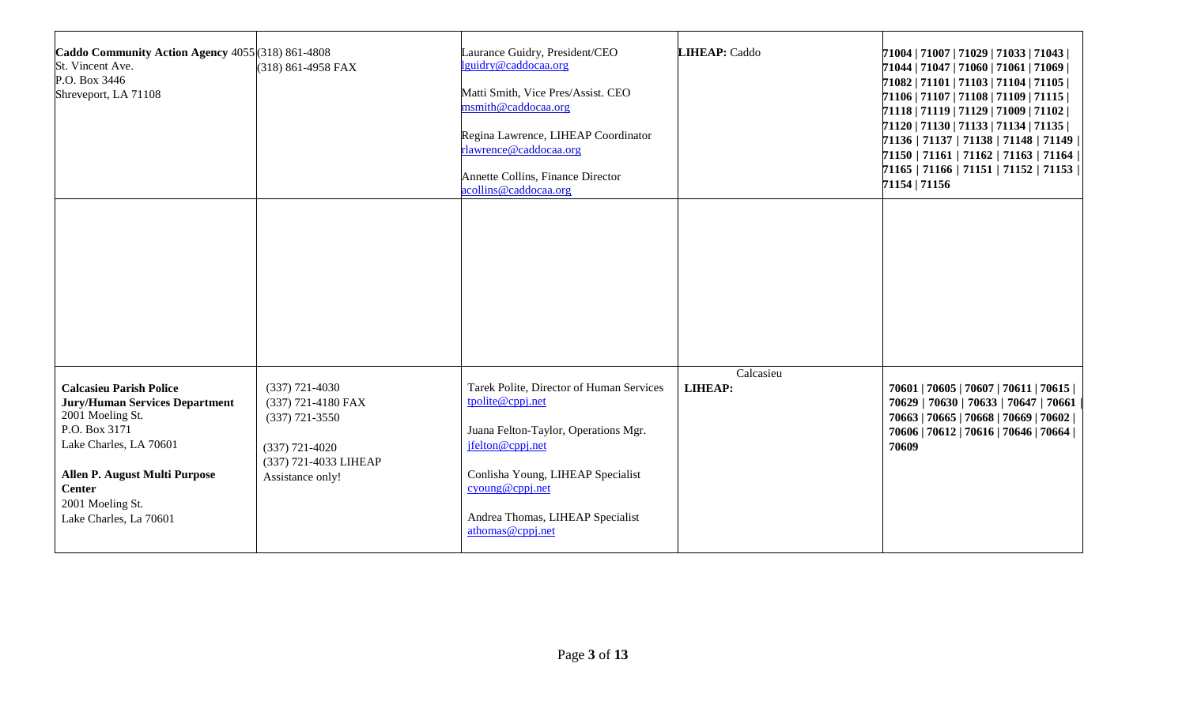| Caddo Community Action Agency 4055 (318) 861-4808<br>St. Vincent Ave.<br>P.O. Box 3446<br>Shreveport, LA 71108                                                                                                                         | (318) 861-4958 FAX                                                                                                          | Laurance Guidry, President/CEO<br>lguidry@caddocaa.org<br>Matti Smith, Vice Pres/Assist. CEO<br>msmith@caddocaa.org<br>Regina Lawrence, LIHEAP Coordinator<br>rlawrence@caddocaa.org<br>Annette Collins, Finance Director<br>acollins@caddocaa.org | LIHEAP: Caddo               | 71004   71007   71029   71033   71043  <br>71044   71047   71060   71061   71069  <br>71082   71101   71103   71104   71105  <br>71106   71107   71108   71109   71115  <br>71118   71119   71129   71009   71102  <br>$71120$   $71130$   $71133$   $71134$   $71135$  <br>71136   71137   71138   71148   71149  <br>71150   71161   71162   71163   71164  <br>71165   71166   71151   71152   71153  <br>71154   71156 |
|----------------------------------------------------------------------------------------------------------------------------------------------------------------------------------------------------------------------------------------|-----------------------------------------------------------------------------------------------------------------------------|----------------------------------------------------------------------------------------------------------------------------------------------------------------------------------------------------------------------------------------------------|-----------------------------|----------------------------------------------------------------------------------------------------------------------------------------------------------------------------------------------------------------------------------------------------------------------------------------------------------------------------------------------------------------------------------------------------------------------------|
|                                                                                                                                                                                                                                        |                                                                                                                             |                                                                                                                                                                                                                                                    |                             |                                                                                                                                                                                                                                                                                                                                                                                                                            |
| <b>Calcasieu Parish Police</b><br><b>Jury/Human Services Department</b><br>2001 Moeling St.<br>P.O. Box 3171<br>Lake Charles, LA 70601<br>Allen P. August Multi Purpose<br><b>Center</b><br>2001 Moeling St.<br>Lake Charles, La 70601 | $(337)$ 721-4030<br>(337) 721-4180 FAX<br>$(337)$ 721-3550<br>$(337)$ 721-4020<br>(337) 721-4033 LIHEAP<br>Assistance only! | Tarek Polite, Director of Human Services<br>tpolite@cppj.net<br>Juana Felton-Taylor, Operations Mgr.<br>jfelton@cppj.net<br>Conlisha Young, LIHEAP Specialist<br>cyoung@cppj.net<br>Andrea Thomas, LIHEAP Specialist<br>athomas@cppj.net           | Calcasieu<br><b>LIHEAP:</b> | 70601   70605   70607   70611   70615  <br>70629   70630   70633   70647   70661<br>70663   70665   70668   70669   70602  <br>70606   70612   70616   70646   70664  <br>70609                                                                                                                                                                                                                                            |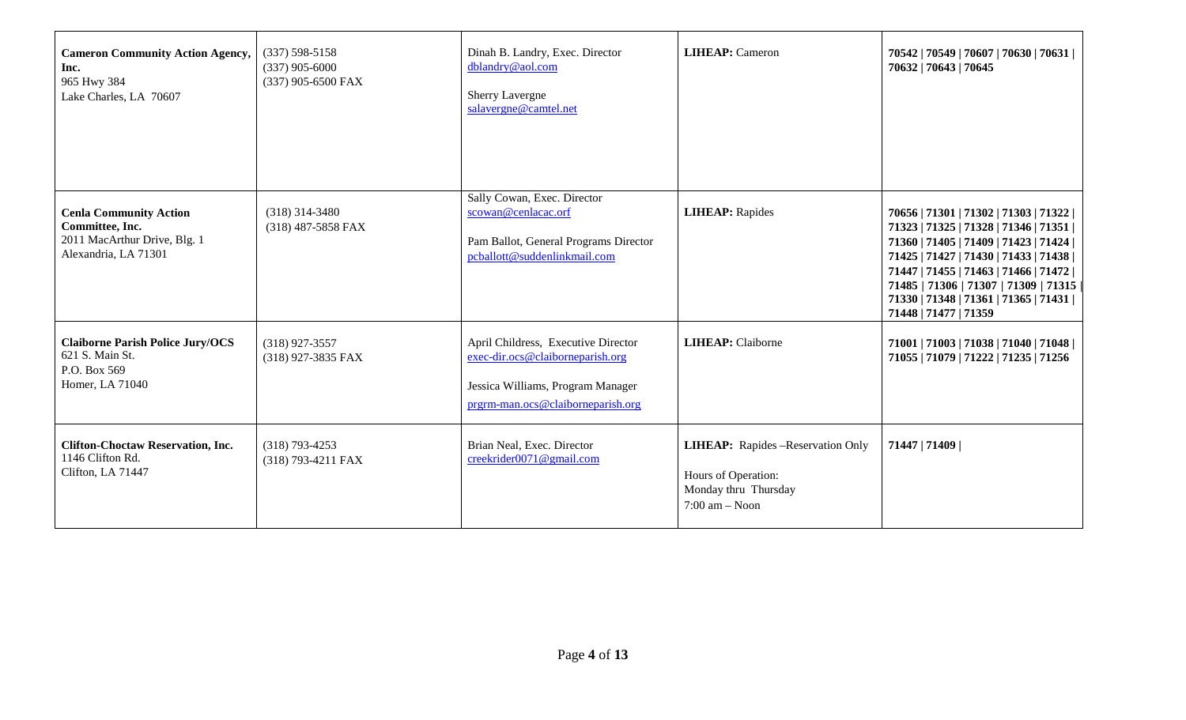| <b>Cameron Community Action Agency,</b><br>Inc.<br>965 Hwy 384<br>Lake Charles, LA 70607                 | $(337) 598 - 5158$<br>$(337)$ 905-6000<br>(337) 905-6500 FAX | Dinah B. Landry, Exec. Director<br>dblandry@aol.com<br>Sherry Lavergne<br>salavergne@camtel.net                                                   | <b>LIHEAP:</b> Cameron                                                                                        | 70542   70549   70607   70630   70631  <br>70632   70643   70645                                                                                                                                                                                                                                                                 |
|----------------------------------------------------------------------------------------------------------|--------------------------------------------------------------|---------------------------------------------------------------------------------------------------------------------------------------------------|---------------------------------------------------------------------------------------------------------------|----------------------------------------------------------------------------------------------------------------------------------------------------------------------------------------------------------------------------------------------------------------------------------------------------------------------------------|
| <b>Cenla Community Action</b><br>Committee, Inc.<br>2011 MacArthur Drive, Blg. 1<br>Alexandria, LA 71301 | $(318)$ 314-3480<br>(318) 487-5858 FAX                       | Sally Cowan, Exec. Director<br>scowan@cenlacac.orf<br>Pam Ballot, General Programs Director<br>pcballott@suddenlinkmail.com                       | <b>LIHEAP:</b> Rapides                                                                                        | 70656   71301   71302   71303   71322  <br>71323   71325   71328   71346   71351  <br>71360   71405   71409   71423   71424  <br>71425   71427   71430   71433   71438  <br>71447   71455   71463   71466   71472  <br>71485   71306   71307   71309   71315<br>71330   71348   71361   71365   71431  <br>71448   71477   71359 |
| <b>Claiborne Parish Police Jury/OCS</b><br>621 S. Main St.<br>P.O. Box 569<br>Homer, LA 71040            | $(318)$ 927-3557<br>(318) 927-3835 FAX                       | April Childress, Executive Director<br>exec-dir.ocs@claiborneparish.org<br>Jessica Williams, Program Manager<br>prgrm-man.ocs@claiborneparish.org | <b>LIHEAP:</b> Claiborne                                                                                      | 71001   71003   71038   71040   71048  <br>71055   71079   71222   71235   71256                                                                                                                                                                                                                                                 |
| <b>Clifton-Choctaw Reservation, Inc.</b><br>1146 Clifton Rd.<br>Clifton, LA 71447                        | $(318)$ 793-4253<br>(318) 793-4211 FAX                       | Brian Neal, Exec. Director<br>creekrider0071@gmail.com                                                                                            | <b>LIHEAP:</b> Rapides -Reservation Only<br>Hours of Operation:<br>Monday thru Thursday<br>$7:00$ am $-$ Noon | 71447   71409                                                                                                                                                                                                                                                                                                                    |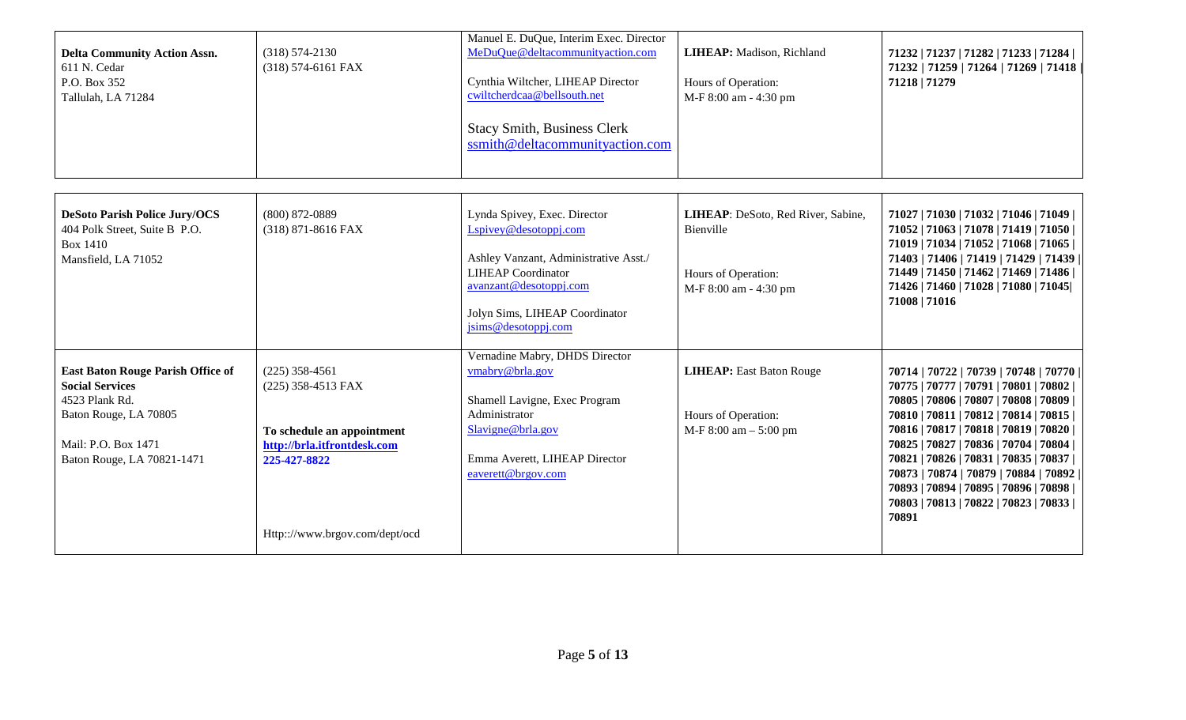| <b>Delta Community Action Assn.</b><br>611 N. Cedar<br>P.O. Box 352<br>Tallulah, LA 71284                                                                          | $(318) 574 - 2130$<br>(318) 574-6161 FAX                                                                                                              | Manuel E. DuQue, Interim Exec. Director<br>MeDuQue@deltacommunityaction.com<br>Cynthia Wiltcher, LIHEAP Director<br>cwiltcherdcaa@bellsouth.net<br><b>Stacy Smith, Business Clerk</b><br>ssmith@deltacommunityaction.com | LIHEAP: Madison, Richland<br>Hours of Operation:<br>M-F 8:00 am - 4:30 pm                       | 71232   71237   71282   71233   71284  <br>71232   71259   71264   71269   71418<br>71218   71279                                                                                                                                                                                                                                                                                                                                                 |
|--------------------------------------------------------------------------------------------------------------------------------------------------------------------|-------------------------------------------------------------------------------------------------------------------------------------------------------|--------------------------------------------------------------------------------------------------------------------------------------------------------------------------------------------------------------------------|-------------------------------------------------------------------------------------------------|---------------------------------------------------------------------------------------------------------------------------------------------------------------------------------------------------------------------------------------------------------------------------------------------------------------------------------------------------------------------------------------------------------------------------------------------------|
| <b>DeSoto Parish Police Jury/OCS</b><br>404 Polk Street, Suite B P.O.<br><b>Box 1410</b><br>Mansfield, LA 71052                                                    | $(800) 872 - 0889$<br>(318) 871-8616 FAX                                                                                                              | Lynda Spivey, Exec. Director<br>Lspivey@desotoppj.com<br>Ashley Vanzant, Administrative Asst./<br><b>LIHEAP</b> Coordinator<br>avanzant@desotoppj.com<br>Jolyn Sims, LIHEAP Coordinator<br>jsims@desotoppj.com           | LIHEAP: DeSoto, Red River, Sabine,<br>Bienville<br>Hours of Operation:<br>M-F 8:00 am - 4:30 pm | 71027   71030   71032   71046   71049  <br>71052   71063   71078   71419   71050  <br>71019   71034   71052   71068   71065  <br>71403   71406   71419   71429   71439  <br>71449   71450   71462   71469   71486  <br>71426   71460   71028   71080   71045  <br>71008   71016                                                                                                                                                                   |
| <b>East Baton Rouge Parish Office of</b><br><b>Social Services</b><br>4523 Plank Rd.<br>Baton Rouge, LA 70805<br>Mail: P.O. Box 1471<br>Baton Rouge, LA 70821-1471 | $(225)$ 358-4561<br>(225) 358-4513 FAX<br>To schedule an appointment<br>http://brla.itfrontdesk.com<br>225-427-8822<br>Http:://www.brgov.com/dept/ocd | Vernadine Mabry, DHDS Director<br>vmabry@brla.gov<br>Shamell Lavigne, Exec Program<br>Administrator<br>Slavigne@brla.gov<br>Emma Averett, LIHEAP Director<br>eaverett@brgov.com                                          | <b>LIHEAP:</b> East Baton Rouge<br>Hours of Operation:<br>$M-F 8:00$ am $- 5:00$ pm             | 70714   70722   70739   70748   70770  <br>70775   70777   70791   70801   70802  <br>70805   70806   70807   70808   70809  <br>70810   70811   70812   70814   70815  <br>70816   70817   70818   70819   70820  <br>70825   70827   70836   70704   70804  <br>70821   70826   70831   70835   70837  <br>70873   70874   70879   70884   70892<br>70893   70894   70895   70896   70898  <br>70803   70813   70822   70823   70833  <br>70891 |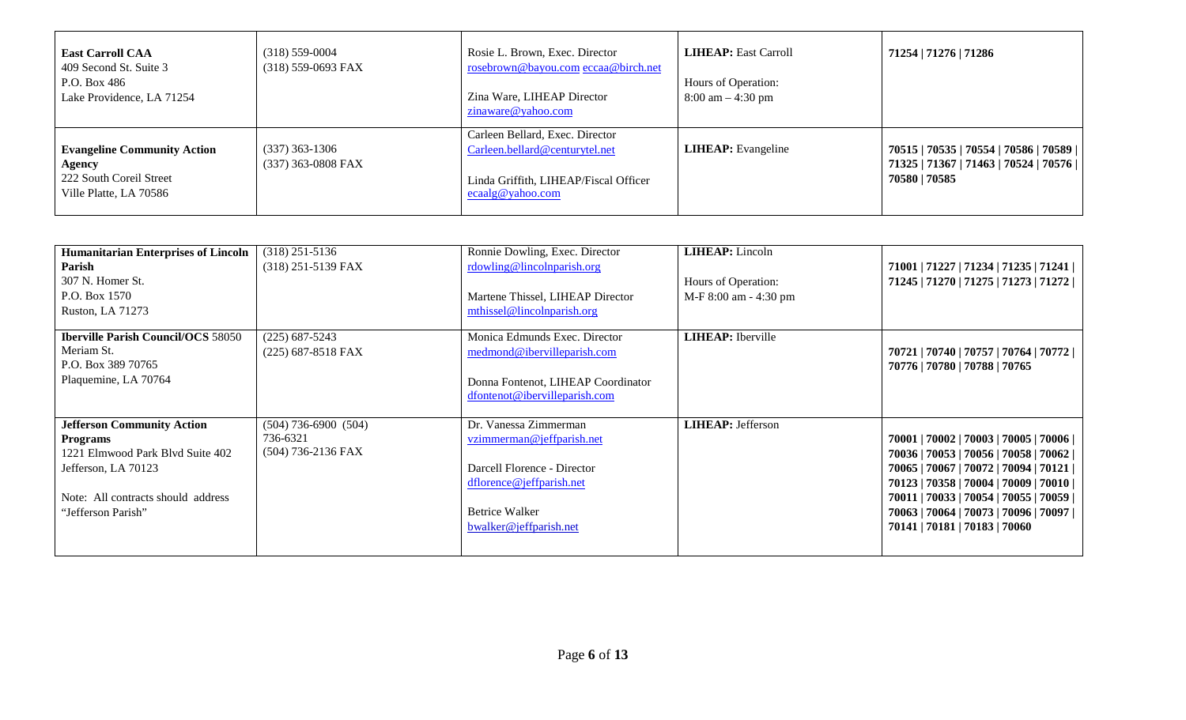| <b>East Carroll CAA</b><br>409 Second St. Suite 3<br>P.O. Box 486<br>Lake Providence, LA 71254    | $(318) 559 - 0004$<br>(318) 559-0693 FAX | Rosie L. Brown, Exec. Director<br>rosebrown@bayou.com eccaa@birch.net<br>Zina Ware, LIHEAP Director<br>zinaware@yahoo.com                        | <b>LIHEAP</b> : East Carroll<br>Hours of Operation:<br>$8:00 \text{ am} - 4:30 \text{ pm}$ | 71254   71276   71286                                                                                   |
|---------------------------------------------------------------------------------------------------|------------------------------------------|--------------------------------------------------------------------------------------------------------------------------------------------------|--------------------------------------------------------------------------------------------|---------------------------------------------------------------------------------------------------------|
| <b>Evangeline Community Action</b><br>Agency<br>222 South Coreil Street<br>Ville Platte, LA 70586 | $(337)$ 363-1306<br>(337) 363-0808 FAX   | Carleen Bellard, Exec. Director<br>Carleen.bellard@centurytel.net<br>Linda Griffith, LIHEAP/Fiscal Officer<br>$\operatorname{ecaalg}@$ yahoo.com | <b>LIHEAP</b> : Evangeline                                                                 | 70515   70535   70554   70586   70589    <br>71325   71367   71463   70524   70576    <br>70580   70585 |

| <b>Humanitarian Enterprises of Lincoln</b><br>Parish<br>307 N. Homer St.<br>P.O. Box 1570<br>Ruston, LA 71273                                                               | $(318)$ 251-5136<br>(318) 251-5139 FAX                     | Ronnie Dowling, Exec. Director<br>rdowling@lincolnparish.org<br>Martene Thissel, LIHEAP Director<br>mthissel@lincolnparish.org                            | <b>LIHEAP</b> : Lincoln<br>Hours of Operation:<br>M-F 8:00 am - 4:30 pm | 71001   71227   71234   71235   71241  <br>71245   71270   71275   71273   71272                                                                                                                                                                                                                |
|-----------------------------------------------------------------------------------------------------------------------------------------------------------------------------|------------------------------------------------------------|-----------------------------------------------------------------------------------------------------------------------------------------------------------|-------------------------------------------------------------------------|-------------------------------------------------------------------------------------------------------------------------------------------------------------------------------------------------------------------------------------------------------------------------------------------------|
| <b>Iberville Parish Council/OCS 58050</b><br>Meriam St.<br>P.O. Box 389 70765<br>Plaquemine, LA 70764                                                                       | $(225)$ 687-5243<br>$(225)$ 687-8518 FAX                   | Monica Edmunds Exec. Director<br>medmond@ibervilleparish.com<br>Donna Fontenot, LIHEAP Coordinator<br>dfontenot@ibervilleparish.com                       | <b>LIHEAP</b> : Iberville                                               | 70721   70740   70757   70764   70772  <br>70776   70780   70788   70765                                                                                                                                                                                                                        |
| <b>Jefferson Community Action</b><br><b>Programs</b><br>1221 Elmwood Park Blyd Suite 402<br>Jefferson, LA 70123<br>Note: All contracts should address<br>"Jefferson Parish" | $(504)$ 736-6900 $(504)$<br>736-6321<br>(504) 736-2136 FAX | Dr. Vanessa Zimmerman<br>vzimmerman@jeffparish.net<br>Darcell Florence - Director<br>dflorence@jeffparish.net<br>Betrice Walker<br>bwalker@jeffparish.net | <b>LIHEAP</b> : Jefferson                                               | 70001   70002   70003   70005   70006  <br>70036   70053   70056   70058   70062  <br>70065   70067   70072   70094   70121  <br>70123   70358   70004   70009   70010  <br>70011   70033   70054   70055   70059  <br>70063   70064   70073   70096   70097  <br>70141   70181   70183   70060 |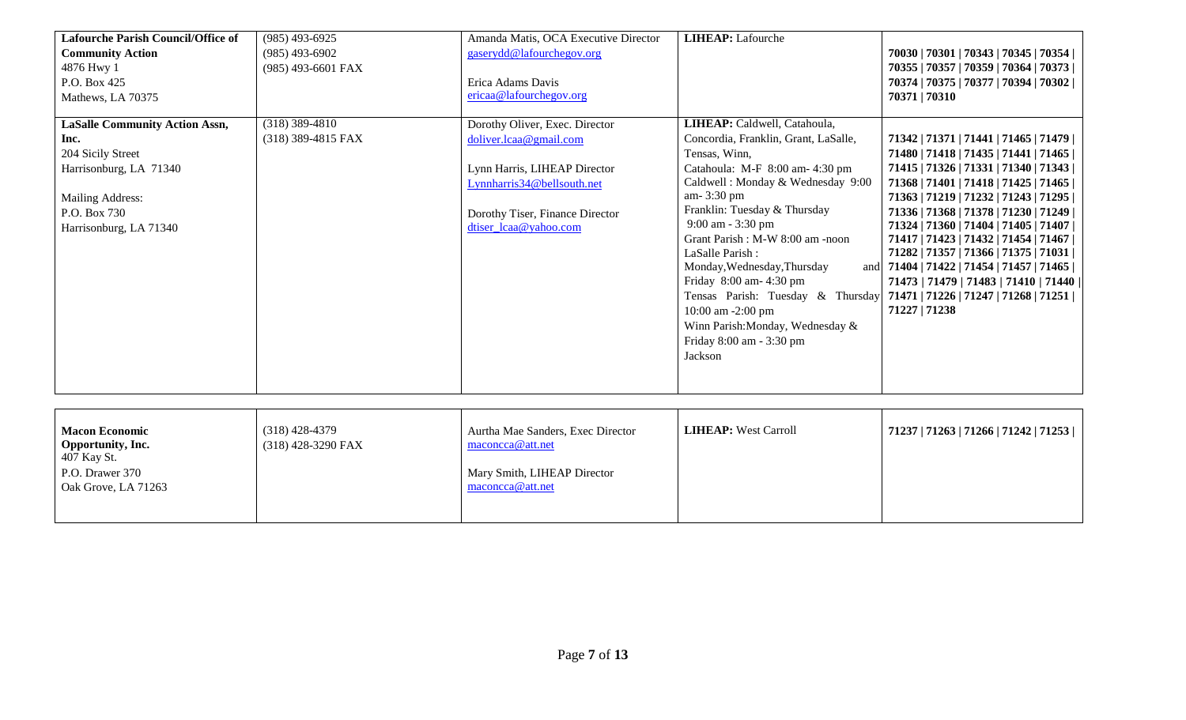| <b>Lafourche Parish Council/Office of</b><br><b>Community Action</b><br>4876 Hwy 1<br>P.O. Box 425<br>Mathews, LA 70375                                    | $(985)$ 493-6925<br>$(985)$ 493-6902<br>(985) 493-6601 FAX | Amanda Matis, OCA Executive Director<br>gaserydd@lafourchegov.org<br>Erica Adams Davis<br>ericaa@lafourchegov.org                                                                  | <b>LIHEAP:</b> Lafourche                                                                                                                                                                                                                                                                                                                                                                                                                                                                      | 70030   70301   70343   70345   70354  <br>70355   70357   70359   70364   70373  <br>70374   70375   70377   70394   70302  <br>70371   70310                                                                                                                                                                                                                                                                                                                                                                                                     |
|------------------------------------------------------------------------------------------------------------------------------------------------------------|------------------------------------------------------------|------------------------------------------------------------------------------------------------------------------------------------------------------------------------------------|-----------------------------------------------------------------------------------------------------------------------------------------------------------------------------------------------------------------------------------------------------------------------------------------------------------------------------------------------------------------------------------------------------------------------------------------------------------------------------------------------|----------------------------------------------------------------------------------------------------------------------------------------------------------------------------------------------------------------------------------------------------------------------------------------------------------------------------------------------------------------------------------------------------------------------------------------------------------------------------------------------------------------------------------------------------|
| <b>LaSalle Community Action Assn,</b><br>Inc.<br>204 Sicily Street<br>Harrisonburg, LA 71340<br>Mailing Address:<br>P.O. Box 730<br>Harrisonburg, LA 71340 | $(318)$ 389-4810<br>(318) 389-4815 FAX                     | Dorothy Oliver, Exec. Director<br>doliver.lcaa@gmail.com<br>Lynn Harris, LIHEAP Director<br>Lynnharris34@bellsouth.net<br>Dorothy Tiser, Finance Director<br>dtiser_lcaa@yahoo.com | LIHEAP: Caldwell, Catahoula,<br>Concordia, Franklin, Grant, LaSalle,<br>Tensas, Winn,<br>Catahoula: M-F 8:00 am- 4:30 pm<br>Caldwell: Monday & Wednesday 9:00<br>am-3:30 pm<br>Franklin: Tuesday & Thursday<br>9:00 am - 3:30 pm<br>Grant Parish : M-W 8:00 am -noon<br>LaSalle Parish:<br>Monday, Wednesday, Thursday<br>and<br>Friday 8:00 am- 4:30 pm<br>Tensas Parish: Tuesday & Thursday<br>10:00 am -2:00 pm<br>Winn Parish: Monday, Wednesday &<br>Friday 8:00 am - 3:30 pm<br>Jackson | 71342   71371   71441   71465   71479  <br>71480   71418   71435   71441   71465  <br>71415   71326   71331   71340   71343  <br>71368   71401   71418   71425   71465  <br>71363   71219   71232   71243   71295  <br>71336   71368   71378   71230   71249  <br>71324   71360   71404   71405   71407  <br>71417   71423   71432   71454   71467  <br>71282   71357   71366   71375   71031  <br>71404   71422   71454   71457   71465  <br>71473   71479   71483   71410   71440   <br>71471   71226   71247   71268   71251  <br>71227   71238 |
| <b>Macon Economic</b><br>Opportunity, Inc.<br>$107 V_{\text{max}}$ $\Omega_{\text{L}}$                                                                     | $(318)$ 428-4379<br>(318) 428-3290 FAX                     | Aurtha Mae Sanders, Exec Director<br>maconcca@att.net                                                                                                                              | <b>LIHEAP:</b> West Carroll                                                                                                                                                                                                                                                                                                                                                                                                                                                                   | 71237   71263   71266   71242   71253                                                                                                                                                                                                                                                                                                                                                                                                                                                                                                              |

| <b>Macon Economic</b>                   | (318) 428-4379       | Aurtha Mae Sanders, Exec Director               | <b>LIHEAP:</b> West Carroll | 71237   71263   71266   71242   71253 |
|-----------------------------------------|----------------------|-------------------------------------------------|-----------------------------|---------------------------------------|
| <b>Opportunity, Inc.</b><br>407 Kay St. | $(318)$ 428-3290 FAX | maconcca@att.net                                |                             |                                       |
| P.O. Drawer 370<br>Oak Grove, LA 71263  |                      | Mary Smith, LIHEAP Director<br>maconcca@att.net |                             |                                       |
|                                         |                      |                                                 |                             |                                       |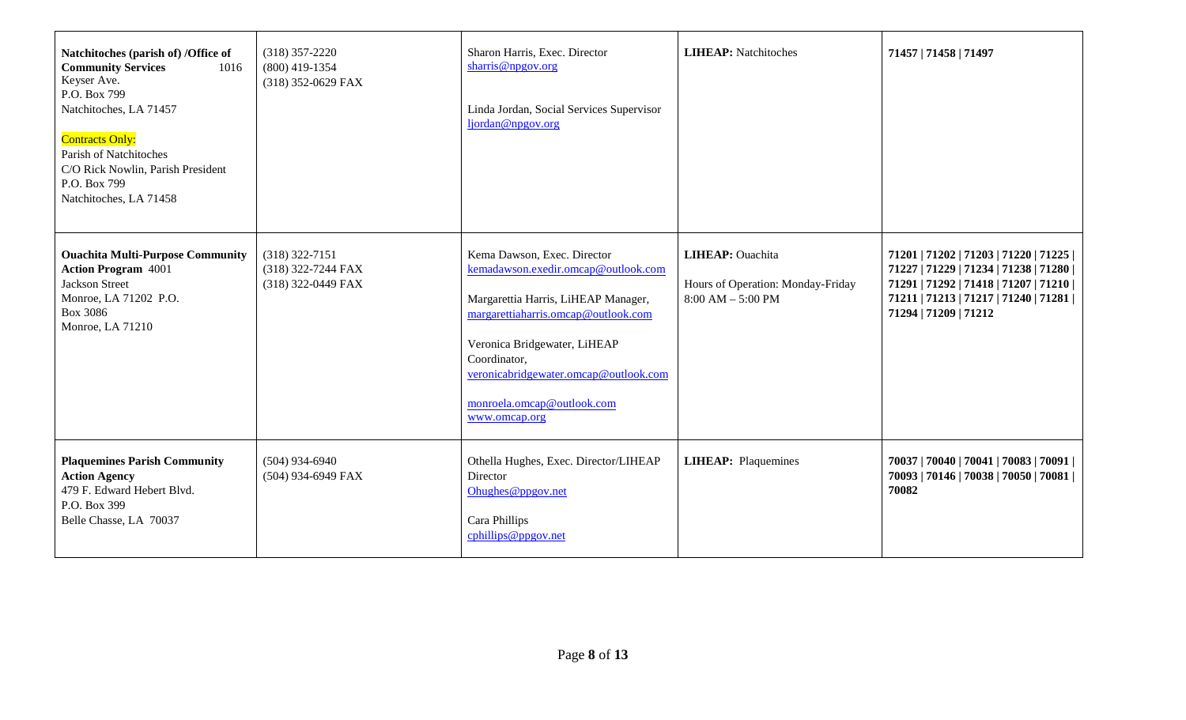| Natchitoches (parish of) /Office of<br><b>Community Services</b><br>1016<br>Keyser Ave.<br>P.O. Box 799<br>Natchitoches, LA 71457<br><b>Contracts Only:</b><br>Parish of Natchitoches<br>C/O Rick Nowlin, Parish President<br>P.O. Box 799<br>Natchitoches, LA 71458 | $(318)$ 357-2220<br>$(800)$ 419-1354<br>(318) 352-0629 FAX   | Sharon Harris, Exec. Director<br>sharris@npgov.org<br>Linda Jordan, Social Services Supervisor<br>ljordan@npgov.org                                                                                                                                                                      | <b>LIHEAP:</b> Natchitoches                                                          | 71457   71458   71497                                                                                                                                                                               |
|----------------------------------------------------------------------------------------------------------------------------------------------------------------------------------------------------------------------------------------------------------------------|--------------------------------------------------------------|------------------------------------------------------------------------------------------------------------------------------------------------------------------------------------------------------------------------------------------------------------------------------------------|--------------------------------------------------------------------------------------|-----------------------------------------------------------------------------------------------------------------------------------------------------------------------------------------------------|
| <b>Ouachita Multi-Purpose Community</b><br><b>Action Program 4001</b><br>Jackson Street<br>Monroe, LA 71202 P.O.<br><b>Box 3086</b><br>Monroe, LA 71210                                                                                                              | $(318)$ 322-7151<br>(318) 322-7244 FAX<br>(318) 322-0449 FAX | Kema Dawson, Exec. Director<br>kemadawson.exedir.omcap@outlook.com<br>Margarettia Harris, LiHEAP Manager,<br>margarettiaharris.omcap@outlook.com<br>Veronica Bridgewater, LiHEAP<br>Coordinator,<br>veronicabridgewater.omcap@outlook.com<br>monroela.omcap@outlook.com<br>www.omcap.org | <b>LIHEAP</b> : Ouachita<br>Hours of Operation: Monday-Friday<br>$8:00 AM - 5:00 PM$ | 71201   71202   71203   71220   71225  <br>71227   71229   71234   71238   71280  <br>71291   71292   71418   71207   71210  <br>71211   71213   71217   71240   71281    <br>71294   71209   71212 |
| <b>Plaquemines Parish Community</b><br><b>Action Agency</b><br>479 F. Edward Hebert Blvd.<br>P.O. Box 399<br>Belle Chasse, LA 70037                                                                                                                                  | $(504)$ 934-6940<br>(504) 934-6949 FAX                       | Othella Hughes, Exec. Director/LIHEAP<br>Director<br>Ohughes@ppgov.net<br>Cara Phillips<br>cphillips@ppgov.net                                                                                                                                                                           | <b>LIHEAP:</b> Plaquemines                                                           | 70037   70040   70041   70083   70091    <br>70093   70146   70038   70050   70081    <br>70082                                                                                                     |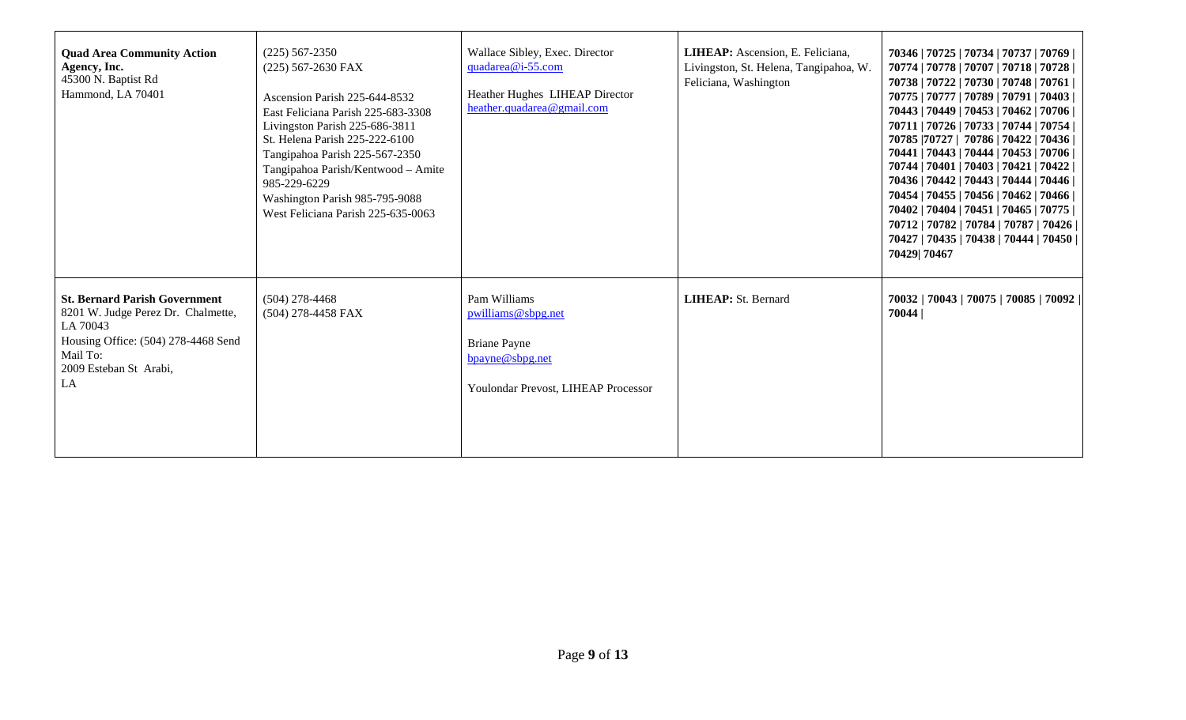| <b>Quad Area Community Action</b><br>Agency, Inc.<br>45300 N. Baptist Rd<br>Hammond, LA 70401                                                                             | $(225)$ 567-2350<br>(225) 567-2630 FAX<br>Ascension Parish 225-644-8532<br>East Feliciana Parish 225-683-3308<br>Livingston Parish 225-686-3811<br>St. Helena Parish 225-222-6100<br>Tangipahoa Parish 225-567-2350<br>Tangipahoa Parish/Kentwood - Amite<br>985-229-6229<br>Washington Parish 985-795-9088<br>West Feliciana Parish 225-635-0063 | Wallace Sibley, Exec. Director<br>quadarea@i-55.com<br>Heather Hughes LIHEAP Director<br>heather.quadarea@gmail.com | LIHEAP: Ascension, E. Feliciana,<br>Livingston, St. Helena, Tangipahoa, W.<br>Feliciana, Washington | 70346   70725   70734   70737   70769    <br>70774   70778   70707   70718   70728    <br>70738   70722   70730   70748   70761    <br>70775   70777   70789   70791   70403    <br>70443   70449   70453   70462   70706    <br>70711   70726   70733   70744   70754    <br>70785   70727   70786   70422   70436    <br>70441   70443   70444   70453   70706    <br>70744   70401   70403   70421   70422    <br>70436   70442   70443   70444   70446    <br>70454   70455   70456   70462   70466    <br>70402   70404   70451   70465   70775    <br>70712   70782   70784   70787   70426    <br>70427   70435   70438   70444   70450    <br>70429 70467 |
|---------------------------------------------------------------------------------------------------------------------------------------------------------------------------|---------------------------------------------------------------------------------------------------------------------------------------------------------------------------------------------------------------------------------------------------------------------------------------------------------------------------------------------------|---------------------------------------------------------------------------------------------------------------------|-----------------------------------------------------------------------------------------------------|-------------------------------------------------------------------------------------------------------------------------------------------------------------------------------------------------------------------------------------------------------------------------------------------------------------------------------------------------------------------------------------------------------------------------------------------------------------------------------------------------------------------------------------------------------------------------------------------------------------------------------------------------------------------|
| <b>St. Bernard Parish Government</b><br>8201 W. Judge Perez Dr. Chalmette,<br>LA 70043<br>Housing Office: (504) 278-4468 Send<br>Mail To:<br>2009 Esteban St Arabi,<br>LA | $(504)$ 278-4468<br>(504) 278-4458 FAX                                                                                                                                                                                                                                                                                                            | Pam Williams<br>pwilliams@sbpg.net<br><b>Briane Payne</b><br>bpayne@sbpg.net<br>Youlondar Prevost, LIHEAP Processor | <b>LIHEAP: St. Bernard</b>                                                                          | 70032   70043   70075   70085   70092  <br>70044                                                                                                                                                                                                                                                                                                                                                                                                                                                                                                                                                                                                                  |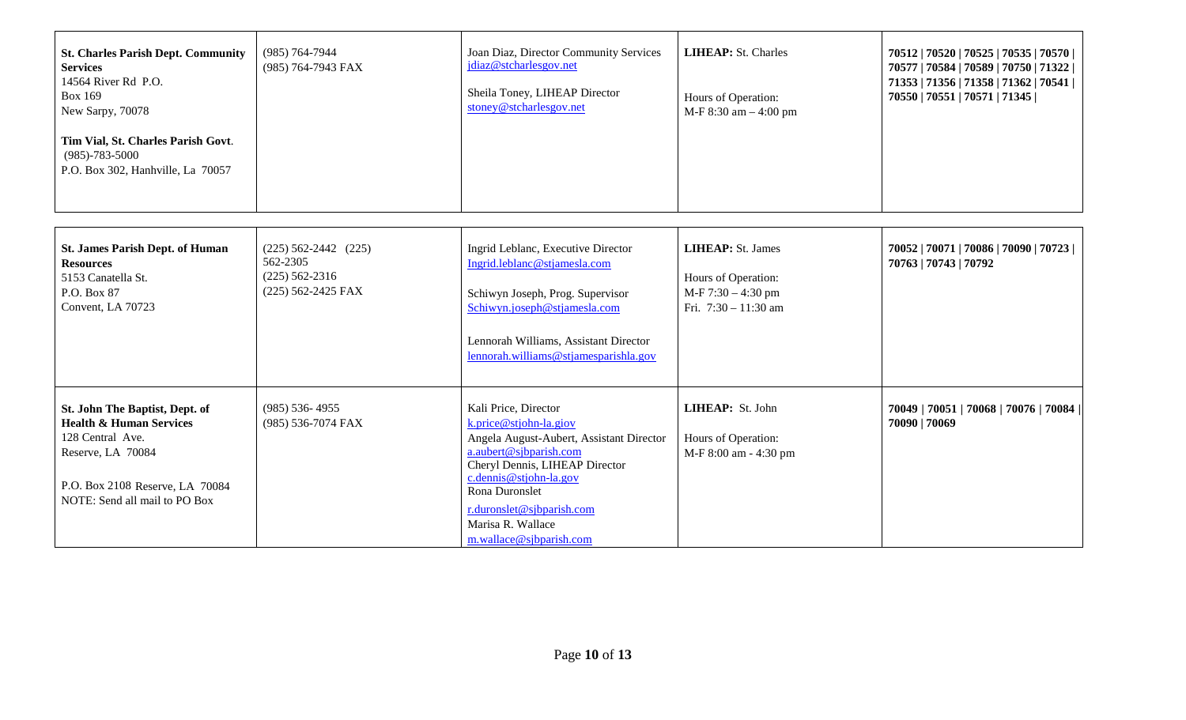| <b>St. Charles Parish Dept. Community</b><br><b>Services</b><br>14564 River Rd P.O.<br><b>Box 169</b><br>New Sarpy, 70078 | (985) 764-7944<br>(985) 764-7943 FAX | Joan Diaz, Director Community Services<br>jdiaz@stcharlesgov.net<br>Sheila Toney, LIHEAP Director<br>stoney@stcharlesgov.net | <b>LIHEAP:</b> St. Charles<br>Hours of Operation:<br>$M-F 8:30$ am $-4:00$ pm | 70512   70520   70525   70535   70570  <br>70577   70584   70589   70750   71322  <br>71353   71356   71358   71362   70541  <br>70550   70551   70571   71345 |
|---------------------------------------------------------------------------------------------------------------------------|--------------------------------------|------------------------------------------------------------------------------------------------------------------------------|-------------------------------------------------------------------------------|----------------------------------------------------------------------------------------------------------------------------------------------------------------|
| Tim Vial, St. Charles Parish Govt.<br>$(985) - 783 - 5000$<br>P.O. Box 302, Hanhville, La 70057                           |                                      |                                                                                                                              |                                                                               |                                                                                                                                                                |

| <b>St. James Parish Dept. of Human</b><br><b>Resources</b><br>5153 Canatella St.<br>P.O. Box 87<br>Convent, LA 70723                                                              | $(225) 562 - 2442$ $(225)$<br>562-2305<br>$(225)$ 562-2316<br>$(225)$ 562-2425 FAX | Ingrid Leblanc, Executive Director<br>Ingrid.leblanc@stjamesla.com<br>Schiwyn Joseph, Prog. Supervisor<br>Schiwyn.joseph@stjamesla.com<br>Lennorah Williams, Assistant Director<br>lennorah.williams@stjamesparishla.gov                                                              | <b>LIHEAP</b> : St. James<br>Hours of Operation:<br>$M-F 7:30 - 4:30$ pm<br>Fri. $7:30 - 11:30$ am | 70052   70071   70086   70090   70723  <br>70763   70743   70792 |
|-----------------------------------------------------------------------------------------------------------------------------------------------------------------------------------|------------------------------------------------------------------------------------|---------------------------------------------------------------------------------------------------------------------------------------------------------------------------------------------------------------------------------------------------------------------------------------|----------------------------------------------------------------------------------------------------|------------------------------------------------------------------|
| St. John The Baptist, Dept. of<br><b>Health &amp; Human Services</b><br>128 Central Ave.<br>Reserve, LA 70084<br>P.O. Box 2108 Reserve, LA 70084<br>NOTE: Send all mail to PO Box | $(985)$ 536-4955<br>(985) 536-7074 FAX                                             | Kali Price, Director<br>k.price@stjohn-la.giov<br>Angela August-Aubert, Assistant Director<br>a.aubert@sjbparish.com<br>Cheryl Dennis, LIHEAP Director<br>$c$ . dennis @ stjohn-la.gov<br>Rona Duronslet<br>r.duronslet@sjbparish.com<br>Marisa R. Wallace<br>m.wallace@sjbparish.com | <b>LIHEAP:</b> St. John<br>Hours of Operation:<br>M-F 8:00 am - 4:30 pm                            | 70049   70051   70068   70076   70084  <br>70090   70069         |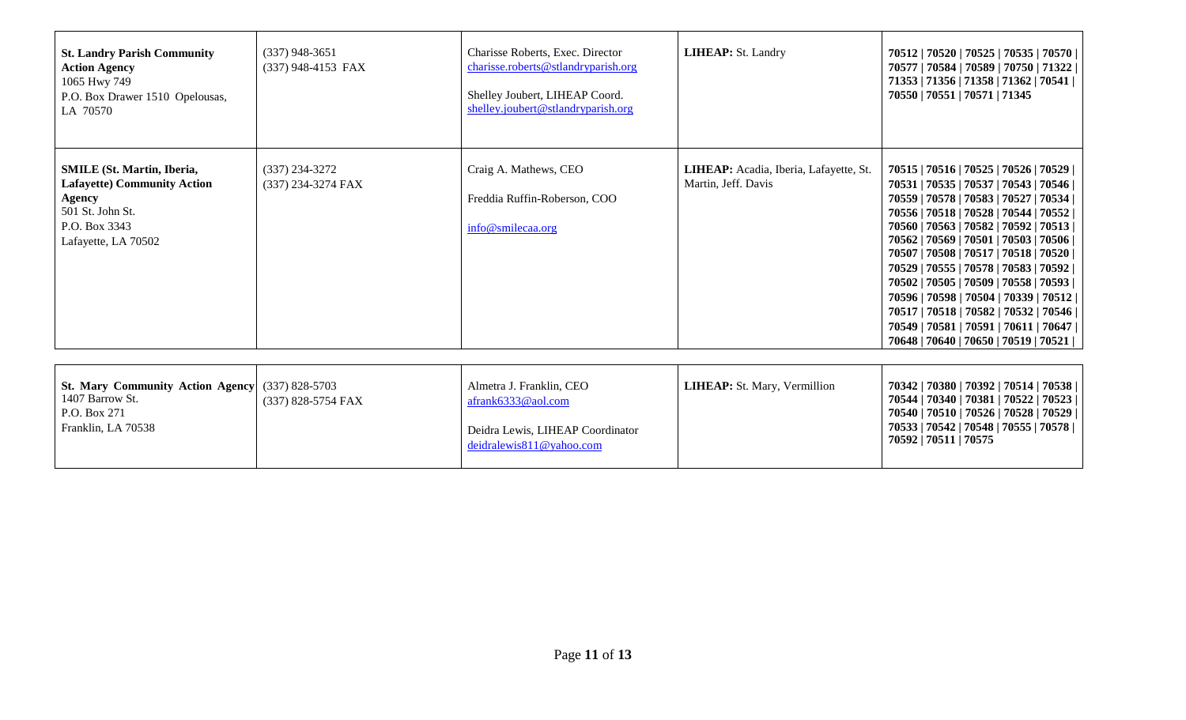| <b>St. Landry Parish Community</b><br><b>Action Agency</b><br>1065 Hwy 749<br>P.O. Box Drawer 1510 Opelousas,<br>LA 70570                            | $(337)$ 948-3651<br>(337) 948-4153 FAX | Charisse Roberts, Exec. Director<br>charisse.roberts@stlandryparish.org<br>Shelley Joubert, LIHEAP Coord.<br>shelley.joubert@stlandryparish.org | <b>LIHEAP: St. Landry</b>                                     | 70512   70520   70525   70535   70570  <br>70577   70584   70589   70750   71322  <br>71353   71356   71358   71362   70541  <br>70550   70551   70571   71345                                                                                                                                                                                                                                                                                                                                                                                                            |
|------------------------------------------------------------------------------------------------------------------------------------------------------|----------------------------------------|-------------------------------------------------------------------------------------------------------------------------------------------------|---------------------------------------------------------------|---------------------------------------------------------------------------------------------------------------------------------------------------------------------------------------------------------------------------------------------------------------------------------------------------------------------------------------------------------------------------------------------------------------------------------------------------------------------------------------------------------------------------------------------------------------------------|
| <b>SMILE</b> (St. Martin, Iberia,<br><b>Lafayette) Community Action</b><br><b>Agency</b><br>501 St. John St.<br>P.O. Box 3343<br>Lafayette, LA 70502 | $(337)$ 234-3272<br>(337) 234-3274 FAX | Craig A. Mathews, CEO<br>Freddia Ruffin-Roberson, COO<br>info@smilecaa.org                                                                      | LIHEAP: Acadia, Iberia, Lafayette, St.<br>Martin, Jeff. Davis | 70515   70516   70525   70526   70529  <br>70531   70535   70537   70543   70546  <br>70559   70578   70583   70527   70534  <br>70556   70518   70528   70544   70552  <br>70560   70563   70582   70592   70513  <br>70562   70569   70501   70503   70506  <br>70507   70508   70517   70518   70520  <br>70529   70555   70578   70583   70592  <br>70502   70505   70509   70558   70593  <br>70596   70598   70504   70339   70512  <br>70517   70518   70582   70532   70546  <br>70549   70581   70591   70611   70647  <br>70648   70640   70650   70519   70521 |
| <b>St. Mary Community Action Agency</b><br>1407 Barrow St.<br>P.O. Box 271<br>Franklin, LA 70538                                                     | $(337)$ 828-5703<br>(337) 828-5754 FAX | Almetra J. Franklin, CEO<br>afrank6333@aol.com<br>Deidra Lewis, LIHEAP Coordinator<br>deidralewis811@yahoo.com                                  | LIHEAP: St. Mary, Vermillion                                  | 70342   70380   70392   70514   70538  <br>70544   70340   70381   70522   70523  <br>70540   70510   70526   70528   70529  <br>70533   70542   70548   70555   70578  <br>70592   70511   70575                                                                                                                                                                                                                                                                                                                                                                         |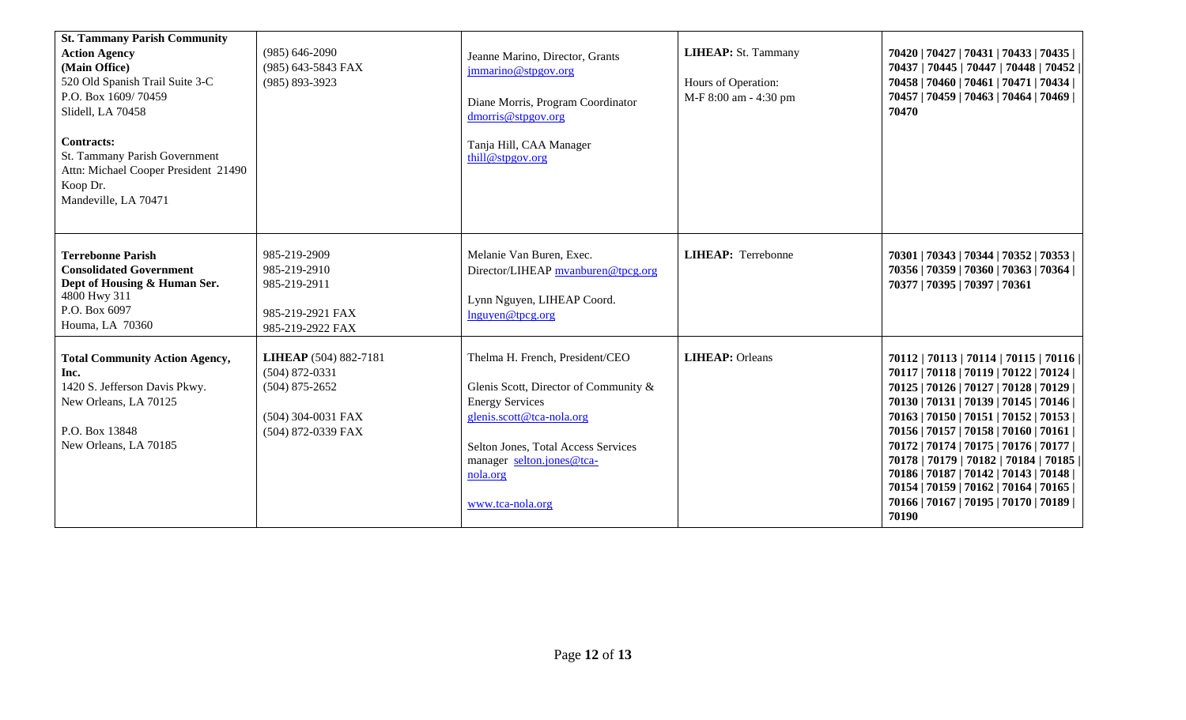| <b>St. Tammany Parish Community</b><br><b>Action Agency</b><br>(Main Office)<br>520 Old Spanish Trail Suite 3-C<br>P.O. Box 1609/70459<br>Slidell, LA 70458<br><b>Contracts:</b><br>St. Tammany Parish Government<br>Attn: Michael Cooper President 21490<br>Koop Dr.<br>Mandeville, LA 70471 | $(985) 646 - 2090$<br>(985) 643-5843 FAX<br>$(985) 893 - 3923$                                            | Jeanne Marino, Director, Grants<br>jmmarino@stpgov.org<br>Diane Morris, Program Coordinator<br>dmorris@stpgov.org<br>Tanja Hill, CAA Manager<br>thill@stpgov.org                                                                    | LIHEAP: St. Tammany<br>Hours of Operation:<br>M-F 8:00 am - 4:30 pm | 70420   70427   70431   70433   70435  <br>70437   70445   70447   70448   70452  <br>70458   70460   70461   70471   70434  <br>70457   70459   70463   70464   70469  <br>70470                                                                                                                                                                                                                                                                                                              |
|-----------------------------------------------------------------------------------------------------------------------------------------------------------------------------------------------------------------------------------------------------------------------------------------------|-----------------------------------------------------------------------------------------------------------|-------------------------------------------------------------------------------------------------------------------------------------------------------------------------------------------------------------------------------------|---------------------------------------------------------------------|------------------------------------------------------------------------------------------------------------------------------------------------------------------------------------------------------------------------------------------------------------------------------------------------------------------------------------------------------------------------------------------------------------------------------------------------------------------------------------------------|
| <b>Terrebonne Parish</b><br><b>Consolidated Government</b><br>Dept of Housing & Human Ser.<br>4800 Hwy 311<br>P.O. Box 6097<br>Houma, LA 70360                                                                                                                                                | 985-219-2909<br>985-219-2910<br>985-219-2911<br>985-219-2921 FAX<br>985-219-2922 FAX                      | Melanie Van Buren, Exec.<br>Director/LIHEAP myanburen@tpcg.org<br>Lynn Nguyen, LIHEAP Coord.<br>Inguyen@tpcg.org                                                                                                                    | <b>LIHEAP:</b> Terrebonne                                           | 70301   70343   70344   70352   70353  <br>70356   70359   70360   70363   70364  <br>70377   70395   70397   70361                                                                                                                                                                                                                                                                                                                                                                            |
| <b>Total Community Action Agency,</b><br>Inc.<br>1420 S. Jefferson Davis Pkwy.<br>New Orleans, LA 70125<br>P.O. Box 13848<br>New Orleans, LA 70185                                                                                                                                            | LIHEAP (504) 882-7181<br>$(504)$ 872-0331<br>$(504)$ 875-2652<br>(504) 304-0031 FAX<br>(504) 872-0339 FAX | Thelma H. French, President/CEO<br>Glenis Scott, Director of Community &<br><b>Energy Services</b><br>glenis.scott@tca-nola.org<br>Selton Jones, Total Access Services<br>manager selton.jones@tca-<br>nola.org<br>www.tca-nola.org | <b>LIHEAP</b> : Orleans                                             | 70112   70113   70114   70115   70116  <br>70117   70118   70119   70122   70124  <br>70125   70126   70127   70128   70129  <br>70130   70131   70139   70145   70146  <br>70163   70150   70151   70152   70153  <br>70156   70157   70158   70160   70161  <br>70172   70174   70175   70176   70177  <br>70178   70179   70182   70184   70185  <br>70186   70187   70142   70143   70148  <br>70154   70159   70162   70164   70165  <br>70166   70167   70195   70170   70189  <br>70190 |